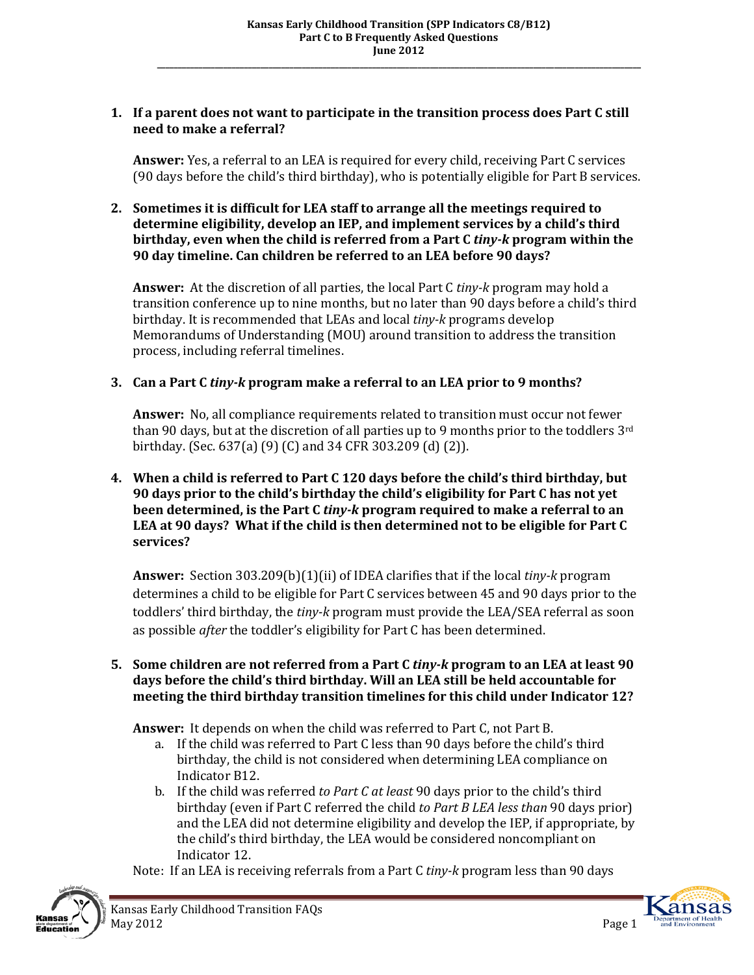## **1. If a parent does not want to participate in the transition process does Part C still need to make a referral?**

**Answer:** Yes, a referral to an LEA is required for every child, receiving Part C services (90 days before the child's third birthday), who is potentially eligible for Part B services.

### **2. Sometimes it is difficult for LEA staff to arrange all the meetings required to determine eligibility, develop an IEP, and implement services by a child's third birthday, even when the child is referred from a Part C** *tiny-k* **program within the 90 day timeline. Can children be referred to an LEA before 90 days?**

**Answer:** At the discretion of all parties, the local Part C *tiny-k* program may hold a transition conference up to nine months, but no later than 90 days before a child's third birthday. It is recommended that LEAs and local *tiny-k* programs develop Memorandums of Understanding (MOU) around transition to address the transition process, including referral timelines.

# **3. Can a Part C** *tiny-k* **program make a referral to an LEA prior to 9 months?**

**Answer:** No, all compliance requirements related to transition must occur not fewer than 90 days, but at the discretion of all parties up to 9 months prior to the toddlers 3rd birthday. (Sec. 637(a) (9) (C) and 34 CFR 303.209 (d) (2)).

### **4. When a child is referred to Part C 120 days before the child's third birthday, but 90 days prior to the child's birthday the child's eligibility for Part C has not yet been determined, is the Part C** *tiny-k* **program required to make a referral to an LEA at 90 days? What if the child is then determined not to be eligible for Part C services?**

**Answer:** Section 303.209(b)(1)(ii) of IDEA clarifies that if the local *tiny-k* program determines a child to be eligible for Part C services between 45 and 90 days prior to the toddlers' third birthday, the *tiny-k* program must provide the LEA/SEA referral as soon as possible *after* the toddler's eligibility for Part C has been determined.

#### **5. Some children are not referred from a Part C** *tiny-k* **program to an LEA at least 90 days before the child's third birthday. Will an LEA still be held accountable for meeting the third birthday transition timelines for this child under Indicator 12?**

**Answer:** It depends on when the child was referred to Part C, not Part B.

- a. If the child was referred to Part C less than 90 days before the child's third birthday, the child is not considered when determining LEA compliance on Indicator B12.
- b. If the child was referred *to Part C at least* 90 days prior to the child's third birthday (even if Part C referred the child *to Part B LEA less than* 90 days prior) and the LEA did not determine eligibility and develop the IEP, if appropriate, by the child's third birthday, the LEA would be considered noncompliant on Indicator 12.





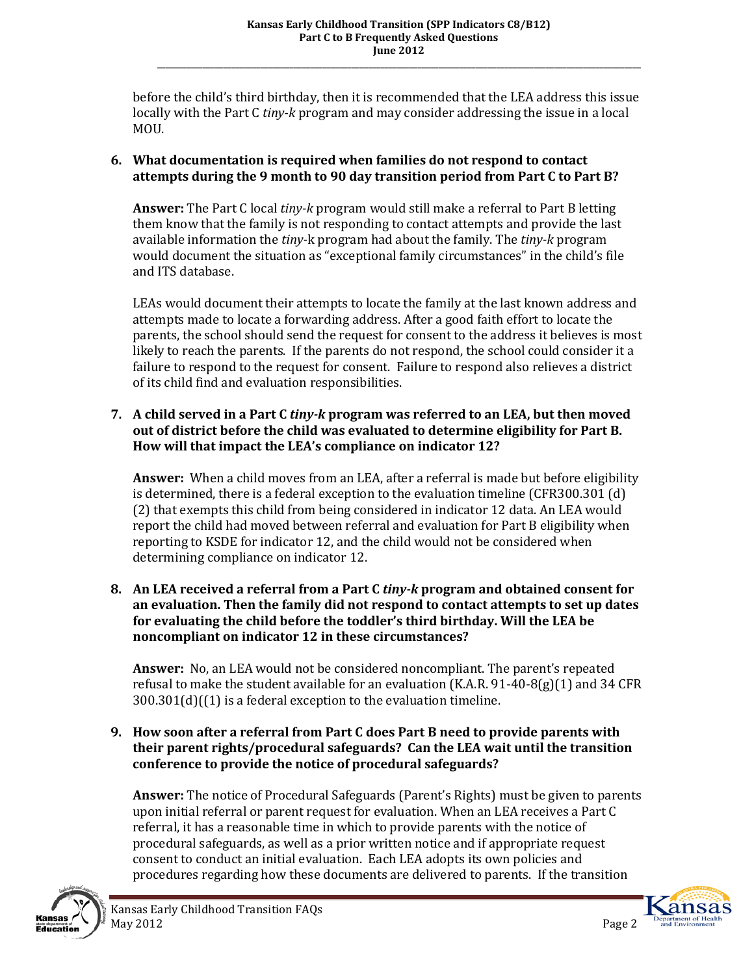before the child's third birthday, then it is recommended that the LEA address this issue locally with the Part C *tiny-k* program and may consider addressing the issue in a local MOU.

# **6. What documentation is required when families do not respond to contact attempts during the 9 month to 90 day transition period from Part C to Part B?**

**Answer:** The Part C local *tiny-k* program would still make a referral to Part B letting them know that the family is not responding to contact attempts and provide the last available information the *tiny-*k program had about the family. The *tiny-k* program would document the situation as "exceptional family circumstances" in the child's file and ITS database.

LEAs would document their attempts to locate the family at the last known address and attempts made to locate a forwarding address. After a good faith effort to locate the parents, the school should send the request for consent to the address it believes is most likely to reach the parents. If the parents do not respond, the school could consider it a failure to respond to the request for consent. Failure to respond also relieves a district of its child find and evaluation responsibilities.

## **7. A child served in a Part C** *tiny-k* **program was referred to an LEA, but then moved out of district before the child was evaluated to determine eligibility for Part B. How will that impact the LEA's compliance on indicator 12?**

**Answer:** When a child moves from an LEA, after a referral is made but before eligibility is determined, there is a federal exception to the evaluation timeline (CFR300.301 (d) (2) that exempts this child from being considered in indicator 12 data. An LEA would report the child had moved between referral and evaluation for Part B eligibility when reporting to KSDE for indicator 12, and the child would not be considered when determining compliance on indicator 12.

### **8. An LEA received a referral from a Part C** *tiny-k* **program and obtained consent for an evaluation. Then the family did not respond to contact attempts to set up dates for evaluating the child before the toddler's third birthday. Will the LEA be noncompliant on indicator 12 in these circumstances?**

**Answer:** No, an LEA would not be considered noncompliant. The parent's repeated refusal to make the student available for an evaluation (K.A.R. 91-40-8(g)(1) and 34 CFR 300.301(d)((1) is a federal exception to the evaluation timeline.

# **9. How soon after a referral from Part C does Part B need to provide parents with their parent rights/procedural safeguards? Can the LEA wait until the transition conference to provide the notice of procedural safeguards?**

**Answer:** The notice of Procedural Safeguards (Parent's Rights) must be given to parents upon initial referral or parent request for evaluation. When an LEA receives a Part C referral, it has a reasonable time in which to provide parents with the notice of procedural safeguards, as well as a prior written notice and if appropriate request consent to conduct an initial evaluation. Each LEA adopts its own policies and procedures regarding how these documents are delivered to parents. If the transition



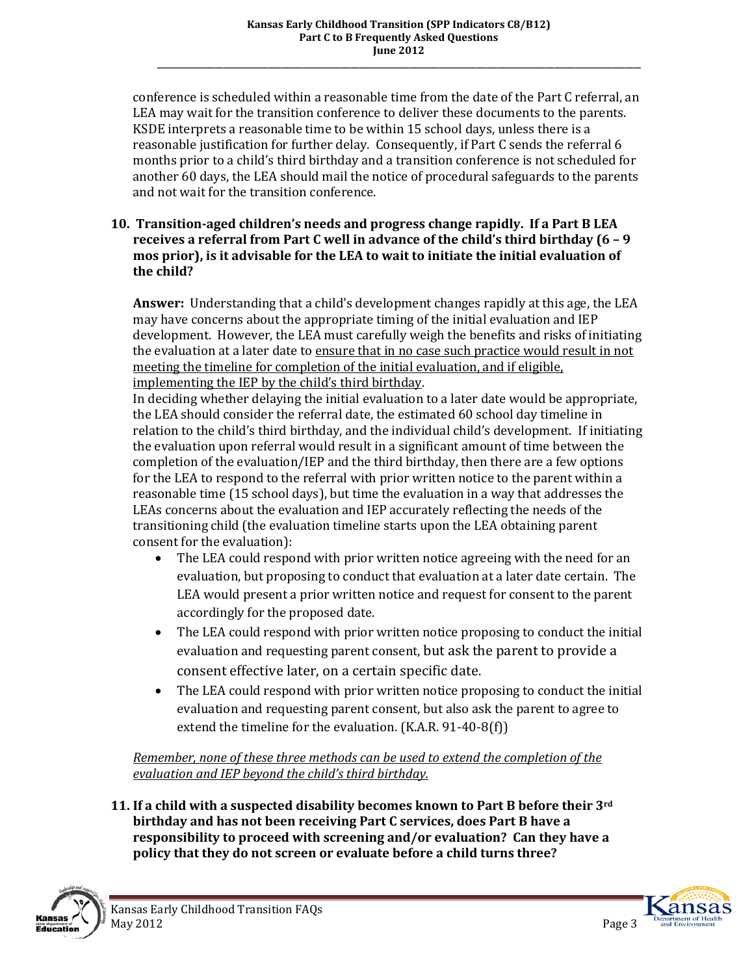conference is scheduled within a reasonable time from the date of the Part C referral, an LEA may wait for the transition conference to deliver these documents to the parents. KSDE interprets a reasonable time to be within 15 school days, unless there is a reasonable justification for further delay. Consequently, if Part C sends the referral 6 months prior to a child's third birthday and a transition conference is not scheduled for another 60 days, the LEA should mail the notice of procedural safeguards to the parents and not wait for the transition conference.

### **10. Transition-aged children's needs and progress change rapidly. If a Part B LEA receives a referral from Part C well in advance of the child's third birthday (6 – 9 mos prior), is it advisable for the LEA to wait to initiate the initial evaluation of the child?**

**Answer:** Understanding that a child's development changes rapidly at this age, the LEA may have concerns about the appropriate timing of the initial evaluation and IEP development. However, the LEA must carefully weigh the benefits and risks of initiating the evaluation at a later date to ensure that in no case such practice would result in not meeting the timeline for completion of the initial evaluation, and if eligible, implementing the IEP by the child's third birthday.

In deciding whether delaying the initial evaluation to a later date would be appropriate, the LEA should consider the referral date, the estimated 60 school day timeline in relation to the child's third birthday, and the individual child's development. If initiating the evaluation upon referral would result in a significant amount of time between the completion of the evaluation/IEP and the third birthday, then there are a few options for the LEA to respond to the referral with prior written notice to the parent within a reasonable time (15 school days), but time the evaluation in a way that addresses the LEAs concerns about the evaluation and IEP accurately reflecting the needs of the transitioning child (the evaluation timeline starts upon the LEA obtaining parent consent for the evaluation):

- The LEA could respond with prior written notice agreeing with the need for an evaluation, but proposing to conduct that evaluation at a later date certain. The LEA would present a prior written notice and request for consent to the parent accordingly for the proposed date.
- The LEA could respond with prior written notice proposing to conduct the initial evaluation and requesting parent consent, but ask the parent to provide a consent effective later, on a certain specific date.
- The LEA could respond with prior written notice proposing to conduct the initial evaluation and requesting parent consent, but also ask the parent to agree to extend the timeline for the evaluation. (K.A.R. 91-40-8(f))

*Remember, none of these three methods can be used to extend the completion of the evaluation and IEP beyond the child's third birthday.* 

**11. If a child with a suspected disability becomes known to Part B before their 3rd birthday and has not been receiving Part C services, does Part B have a responsibility to proceed with screening and/or evaluation? Can they have a policy that they do not screen or evaluate before a child turns three?** 



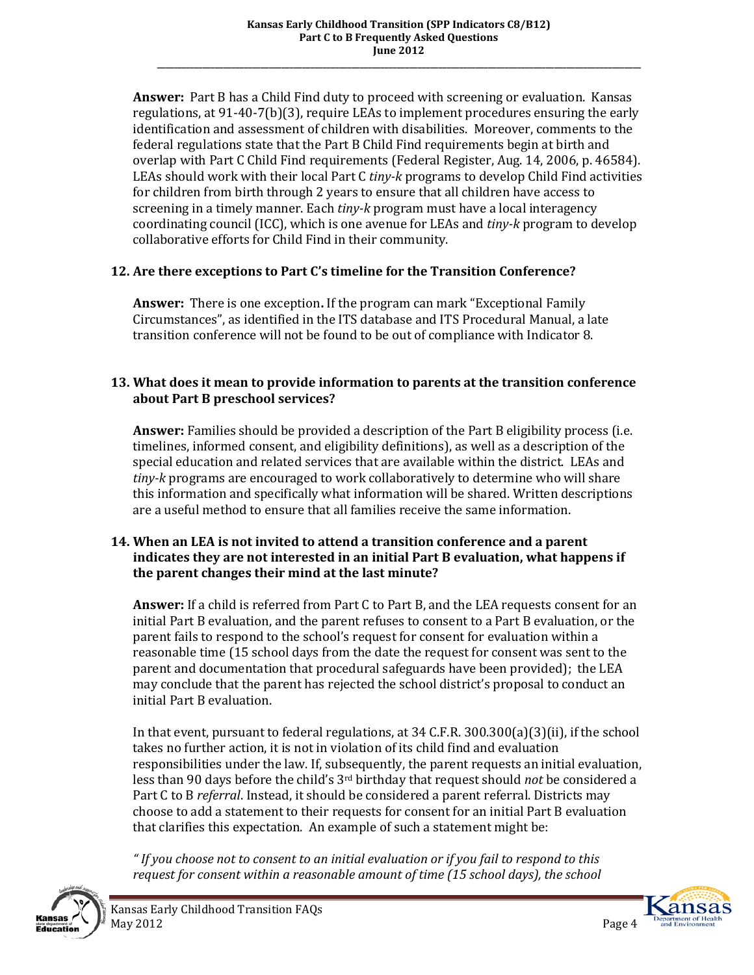**Answer:** Part B has a Child Find duty to proceed with screening or evaluation. Kansas regulations, at 91-40-7(b)(3), require LEAs to implement procedures ensuring the early identification and assessment of children with disabilities. Moreover, comments to the federal regulations state that the Part B Child Find requirements begin at birth and overlap with Part C Child Find requirements (Federal Register, Aug. 14, 2006, p. 46584). LEAs should work with their local Part C *tiny-k* programs to develop Child Find activities for children from birth through 2 years to ensure that all children have access to screening in a timely manner. Each *tiny-k* program must have a local interagency coordinating council (ICC), which is one avenue for LEAs and *tiny-k* program to develop collaborative efforts for Child Find in their community.

# **12. Are there exceptions to Part C's timeline for the Transition Conference?**

**Answer:** There is one exception**.** If the program can mark "Exceptional Family Circumstances", as identified in the ITS database and ITS Procedural Manual, a late transition conference will not be found to be out of compliance with Indicator 8.

# **13. What does it mean to provide information to parents at the transition conference about Part B preschool services?**

**Answer:** Families should be provided a description of the Part B eligibility process (i.e. timelines, informed consent, and eligibility definitions), as well as a description of the special education and related services that are available within the district. LEAs and *tiny-k* programs are encouraged to work collaboratively to determine who will share this information and specifically what information will be shared. Written descriptions are a useful method to ensure that all families receive the same information.

#### **14. When an LEA is not invited to attend a transition conference and a parent indicates they are not interested in an initial Part B evaluation, what happens if the parent changes their mind at the last minute?**

**Answer:** If a child is referred from Part C to Part B, and the LEA requests consent for an initial Part B evaluation, and the parent refuses to consent to a Part B evaluation, or the parent fails to respond to the school's request for consent for evaluation within a reasonable time (15 school days from the date the request for consent was sent to the parent and documentation that procedural safeguards have been provided); the LEA may conclude that the parent has rejected the school district's proposal to conduct an initial Part B evaluation.

In that event, pursuant to federal regulations, at 34 C.F.R. 300.300(a)(3)(ii), if the school takes no further action, it is not in violation of its child find and evaluation responsibilities under the law. If, subsequently, the parent requests an initial evaluation, less than 90 days before the child's 3rd birthday that request should *not* be considered a Part C to B *referral*. Instead, it should be considered a parent referral. Districts may choose to add a statement to their requests for consent for an initial Part B evaluation that clarifies this expectation. An example of such a statement might be:

*" If you choose not to consent to an initial evaluation or if you fail to respond to this request for consent within a reasonable amount of time (15 school days), the school* 



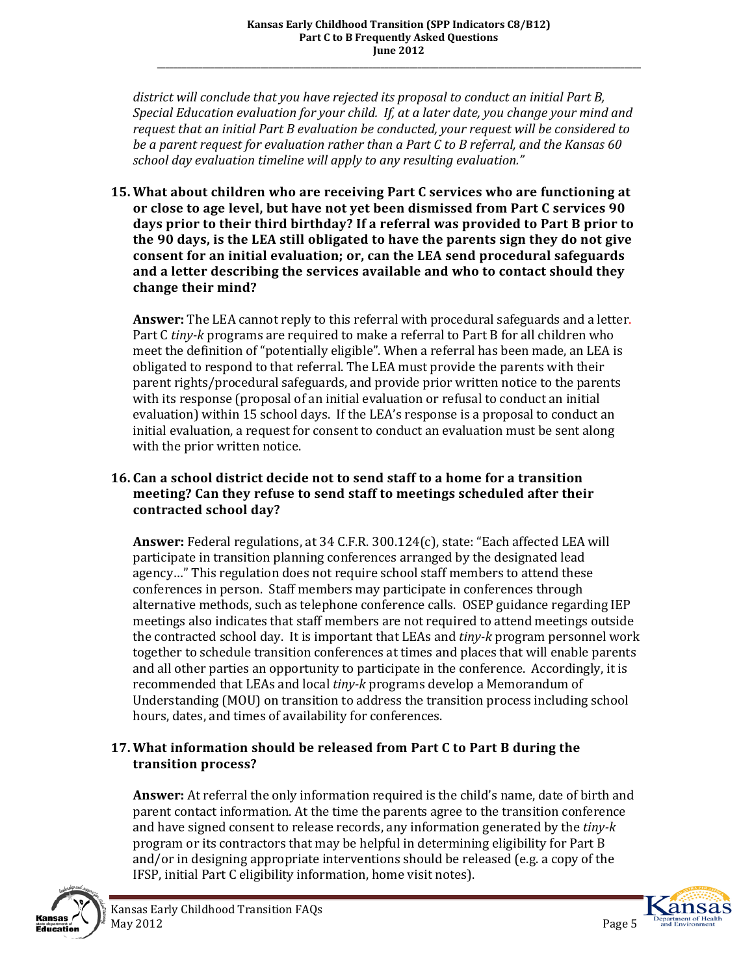*district will conclude that you have rejected its proposal to conduct an initial Part B, Special Education evaluation for your child. If, at a later date, you change your mind and request that an initial Part B evaluation be conducted, your request will be considered to be a parent request for evaluation rather than a Part C to B referral, and the Kansas 60 school day evaluation timeline will apply to any resulting evaluation."*

**15. What about children who are receiving Part C services who are functioning at or close to age level, but have not yet been dismissed from Part C services 90 days prior to their third birthday? If a referral was provided to Part B prior to the 90 days, is the LEA still obligated to have the parents sign they do not give consent for an initial evaluation; or, can the LEA send procedural safeguards and a letter describing the services available and who to contact should they change their mind?** 

**Answer:** The LEA cannot reply to this referral with procedural safeguards and a letter. Part C *tiny-k* programs are required to make a referral to Part B for all children who meet the definition of "potentially eligible". When a referral has been made, an LEA is obligated to respond to that referral. The LEA must provide the parents with their parent rights/procedural safeguards, and provide prior written notice to the parents with its response (proposal of an initial evaluation or refusal to conduct an initial evaluation) within 15 school days. If the LEA's response is a proposal to conduct an initial evaluation, a request for consent to conduct an evaluation must be sent along with the prior written notice.

# **16. Can a school district decide not to send staff to a home for a transition meeting? Can they refuse to send staff to meetings scheduled after their contracted school day?**

**Answer:** Federal regulations, at 34 C.F.R. 300.124(c), state: "Each affected LEA will participate in transition planning conferences arranged by the designated lead agency…" This regulation does not require school staff members to attend these conferences in person. Staff members may participate in conferences through alternative methods, such as telephone conference calls. OSEP guidance regarding IEP meetings also indicates that staff members are not required to attend meetings outside the contracted school day. It is important that LEAs and *tiny-k* program personnel work together to schedule transition conferences at times and places that will enable parents and all other parties an opportunity to participate in the conference. Accordingly, it is recommended that LEAs and local *tiny-k* programs develop a Memorandum of Understanding (MOU) on transition to address the transition process including school hours, dates, and times of availability for conferences.

# **17. What information should be released from Part C to Part B during the transition process?**

**Answer:** At referral the only information required is the child's name, date of birth and parent contact information. At the time the parents agree to the transition conference and have signed consent to release records, any information generated by the *tiny-k* program or its contractors that may be helpful in determining eligibility for Part B and/or in designing appropriate interventions should be released (e.g. a copy of the IFSP, initial Part C eligibility information, home visit notes).



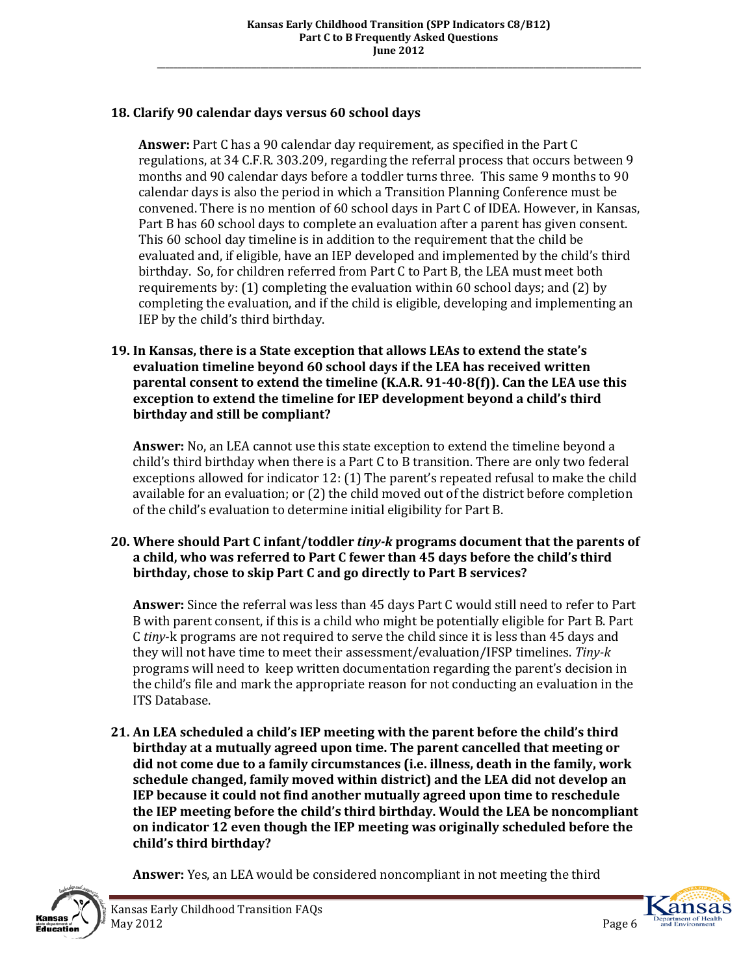# **18. Clarify 90 calendar days versus 60 school days**

**Answer:** Part C has a 90 calendar day requirement, as specified in the Part C regulations, at 34 C.F.R. 303.209, regarding the referral process that occurs between 9 months and 90 calendar days before a toddler turns three. This same 9 months to 90 calendar days is also the period in which a Transition Planning Conference must be convened. There is no mention of 60 school days in Part C of IDEA. However, in Kansas, Part B has 60 school days to complete an evaluation after a parent has given consent. This 60 school day timeline is in addition to the requirement that the child be evaluated and, if eligible, have an IEP developed and implemented by the child's third birthday. So, for children referred from Part C to Part B, the LEA must meet both requirements by: (1) completing the evaluation within 60 school days; and (2) by completing the evaluation, and if the child is eligible, developing and implementing an IEP by the child's third birthday.

#### **19. In Kansas, there is a State exception that allows LEAs to extend the state's evaluation timeline beyond 60 school days if the LEA has received written parental consent to extend the timeline (K.A.R. 91-40-8(f)). Can the LEA use this exception to extend the timeline for IEP development beyond a child's third birthday and still be compliant?**

**Answer:** No, an LEA cannot use this state exception to extend the timeline beyond a child's third birthday when there is a Part C to B transition. There are only two federal exceptions allowed for indicator 12: (1) The parent's repeated refusal to make the child available for an evaluation; or (2) the child moved out of the district before completion of the child's evaluation to determine initial eligibility for Part B.

### **20. Where should Part C infant/toddler** *tiny-k* **programs document that the parents of a child, who was referred to Part C fewer than 45 days before the child's third birthday, chose to skip Part C and go directly to Part B services?**

**Answer:** Since the referral was less than 45 days Part C would still need to refer to Part B with parent consent, if this is a child who might be potentially eligible for Part B. Part C *tiny*-k programs are not required to serve the child since it is less than 45 days and they will not have time to meet their assessment/evaluation/IFSP timelines. *Tiny-k*  programs will need to keep written documentation regarding the parent's decision in the child's file and mark the appropriate reason for not conducting an evaluation in the ITS Database.

**21. An LEA scheduled a child's IEP meeting with the parent before the child's third birthday at a mutually agreed upon time. The parent cancelled that meeting or did not come due to a family circumstances (i.e. illness, death in the family, work schedule changed, family moved within district) and the LEA did not develop an IEP because it could not find another mutually agreed upon time to reschedule the IEP meeting before the child's third birthday. Would the LEA be noncompliant on indicator 12 even though the IEP meeting was originally scheduled before the child's third birthday?** 

**Answer:** Yes, an LEA would be considered noncompliant in not meeting the third



Kansas Early Childhood Transition FAQs May 2012 **Page 6** 

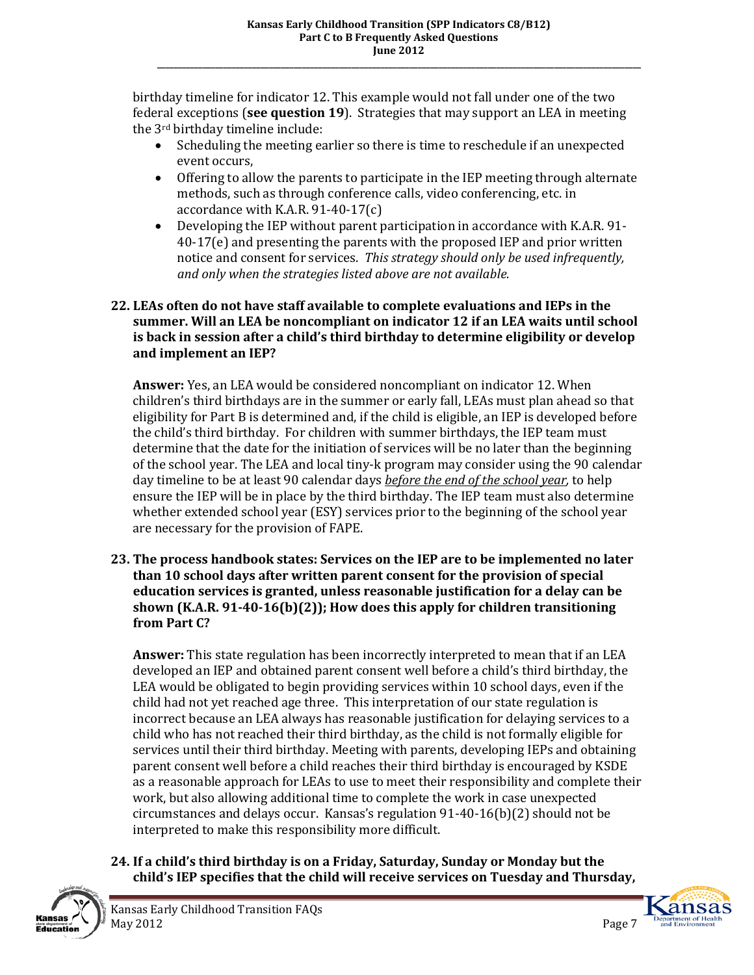birthday timeline for indicator 12. This example would not fall under one of the two federal exceptions (**see question 19**). Strategies that may support an LEA in meeting the 3rd birthday timeline include:

- Scheduling the meeting earlier so there is time to reschedule if an unexpected event occurs,
- Offering to allow the parents to participate in the IEP meeting through alternate methods, such as through conference calls, video conferencing, etc. in accordance with K.A.R. 91-40-17(c)
- Developing the IEP without parent participation in accordance with K.A.R. 91- 40-17(e) and presenting the parents with the proposed IEP and prior written notice and consent for services. *This strategy should only be used infrequently, and only when the strategies listed above are not available.*

## **22. LEAs often do not have staff available to complete evaluations and IEPs in the summer. Will an LEA be noncompliant on indicator 12 if an LEA waits until school is back in session after a child's third birthday to determine eligibility or develop and implement an IEP?**

**Answer:** Yes, an LEA would be considered noncompliant on indicator 12. When children's third birthdays are in the summer or early fall, LEAs must plan ahead so that eligibility for Part B is determined and, if the child is eligible, an IEP is developed before the child's third birthday. For children with summer birthdays, the IEP team must determine that the date for the initiation of services will be no later than the beginning of the school year. The LEA and local tiny-k program may consider using the 90 calendar day timeline to be at least 90 calendar days *before the end of the school year,* to help ensure the IEP will be in place by the third birthday. The IEP team must also determine whether extended school year (ESY) services prior to the beginning of the school year are necessary for the provision of FAPE.

**23. The process handbook states: Services on the IEP are to be implemented no later than 10 school days after written parent consent for the provision of special education services is granted, unless reasonable justification for a delay can be shown (K.A.R. 91-40-16(b)(2)); How does this apply for children transitioning from Part C?** 

**Answer:** This state regulation has been incorrectly interpreted to mean that if an LEA developed an IEP and obtained parent consent well before a child's third birthday, the LEA would be obligated to begin providing services within 10 school days, even if the child had not yet reached age three. This interpretation of our state regulation is incorrect because an LEA always has reasonable justification for delaying services to a child who has not reached their third birthday, as the child is not formally eligible for services until their third birthday. Meeting with parents, developing IEPs and obtaining parent consent well before a child reaches their third birthday is encouraged by KSDE as a reasonable approach for LEAs to use to meet their responsibility and complete their work, but also allowing additional time to complete the work in case unexpected circumstances and delays occur. Kansas's regulation 91-40-16(b)(2) should not be interpreted to make this responsibility more difficult.

**24. If a child's third birthday is on a Friday, Saturday, Sunday or Monday but the child's IEP specifies that the child will receive services on Tuesday and Thursday,**